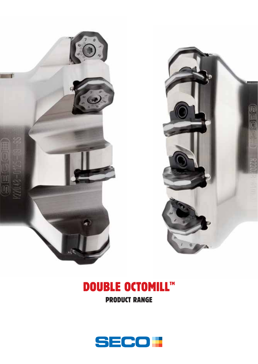



# **DOUBLE OCTOMILL™**

PRODUCT RANGE

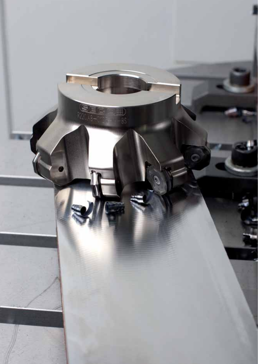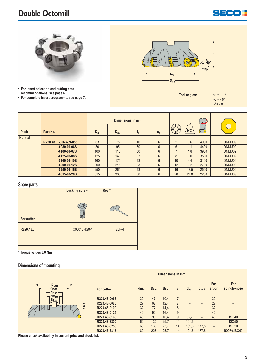



• **For insert selection and cutting data recommendations, see page 6.**



|               |                               |       |                                                                                                                                    | Dimensions in mm |                |                 | O    | Æ    |        |
|---------------|-------------------------------|-------|------------------------------------------------------------------------------------------------------------------------------------|------------------|----------------|-----------------|------|------|--------|
| <b>Pitch</b>  | Part No.                      | $D_c$ | $\textcolor{black}{\textcolor{black}{\textcircled{\tiny \#}}\hspace{0.1em}}$<br><b>ZIS</b><br>$D_{c2}$<br>$a_{p}$<br>$\mathbf{14}$ |                  |                |                 | KG   | EO   |        |
| <b>Normal</b> |                               |       |                                                                                                                                    |                  |                |                 |      |      |        |
|               | R220.48<br>$-0063 - 09 - 05S$ | 63    | 78                                                                                                                                 | 40               | 6              | 5               | 0.6  | 4900 | ONMU09 |
|               | $-0080 - 09 - 06S$            | 80    | 95                                                                                                                                 | 50               | 6              | $6\overline{6}$ | 1.1  | 4400 | ONMU09 |
|               | $-0100 - 09 - 07S$            | 100   | 115                                                                                                                                | 50               | 6              |                 | 1,8  | 3900 | ONMU09 |
|               | $-0125 - 09 - 085$            | 125   | 140                                                                                                                                | 63               | 6              | 8               | 3.0  | 3500 | ONMU09 |
|               | $-8160 - 09 - 10S$            | 160   | 175                                                                                                                                | 63               | 6              | 10              | 4.4  | 3100 | ONMU09 |
|               | $-8200 - 09 - 12S$            | 200   | 215                                                                                                                                |                  | $6\phantom{1}$ | 12              | 6.2  | 2700 | ONMU09 |
|               | $-8250-09-16S$                | 250   | 265                                                                                                                                | 63               | $6\phantom{1}$ | 16              | 13.5 | 2500 | ONMU09 |
|               | $-8315 - 09 - 20S$            | 315   | 330                                                                                                                                | 80               | 6              | 20              | 27.8 | 2200 | ONMU09 |

#### **Spare parts**

|            | <b>Locking screw</b> | Key*   |
|------------|----------------------|--------|
| For cutter | $\circledcirc$<br>UU |        |
| R220.48.   | C05013-T20P          | T20P-4 |
|            |                      |        |
|            |                      |        |
|            |                      |        |

**\* Torque values 6,0 Nm.**

#### **Dimensions of mounting**

|                                                                         |                   |                 |          | Dimensions in mm |                |           |           |                   |                     |
|-------------------------------------------------------------------------|-------------------|-----------------|----------|------------------|----------------|-----------|-----------|-------------------|---------------------|
| $D_{5m}$<br>Thc2                                                        | <b>For cutter</b> | dm <sub>m</sub> | $D_{5m}$ | $B_{kw}$         | c              | $d_{hc1}$ | $d_{hc2}$ | For<br>arbor      | For<br>spindle-nose |
| i <del>&lt;</del> ¤hci →<br>$\rightarrow$ dm <sub>m</sub> $\rightarrow$ |                   |                 |          |                  |                |           |           |                   |                     |
| <b>B<sub>kw</sub></b>                                                   | R220.48-0063      | 22              | 47       | 10.4             | $\overline{ }$ | -         | -         | 22                | -                   |
|                                                                         | R220.48-0080      | 27              | 62       | 12.4             | $\overline{ }$ | -         | -         | 27                | -                   |
| ╥                                                                       | R220.48-0100      | 32              | 77       | 14.4             | 8              | -         | -         | 32                | -                   |
|                                                                         | R220.48-0125      | 40              | 90       | 16.4             | 9              | -         | -         | 40                | -                   |
|                                                                         | R220.48-8160      | 40              | 90       | 16.4             | 9              | 66.7      | -         | 40                | <b>ISO40</b>        |
|                                                                         | R220.48-8200      | 60              | 130      | 25.7             | 14             | 101.6     |           | -                 | <b>ISO50</b>        |
|                                                                         | R220.48-8250      | 60              | 130      | 25.7             | 14             | 101.6     | 177.8     | $\qquad \qquad -$ | <b>ISO50</b>        |
|                                                                         | R220.48-8315      | 60              | 225      | 25.7             | 14             | 101.6     | 177.8     | -                 | ISO50.ISO60         |

**Please check availability in current price and stock-list.**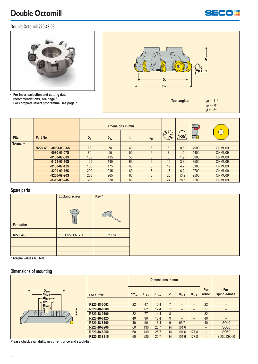

#### **Double Octomill 220.48-09**





• **For insert selection and cutting data** 

|              |                               |       |                                            | Dimensions in mm |                |                | О         | Ŧ      |        |
|--------------|-------------------------------|-------|--------------------------------------------|------------------|----------------|----------------|-----------|--------|--------|
| <b>Pitch</b> | Part No.                      | $D_c$ | $\lll 1$<br>⊽⊓⊽<br>$D_{c2}$<br>$a_p$<br>11 |                  |                |                | <b>KG</b> | $\Box$ |        |
| Normal +     |                               |       |                                            |                  |                |                |           |        |        |
|              | R220.48<br>$-0063 - 09 - 06S$ | 63    | 78                                         | 40               | 6              | $6\phantom{1}$ | 0.6       | 4900   | ONMU09 |
|              | $-0080 - 09 - 07S$            | 80    | 95                                         | 50               | 6              |                | 1,1       | 4400   | ONMU09 |
|              | $-0100 - 09 - 085$            | 100   | 115                                        | 50               | 6              | 8              | 1,9       | 3900   | ONMU09 |
|              | $-0125 - 09 - 10S$            | 125   | 140                                        | 63               | 6              | 10             | 3.3       | 3500   | ONMU09 |
|              | $-8160 - 09 - 12S$            | 160   | 175                                        | 63               | 6              | 12             | 4.7       | 3100   | ONMU09 |
|              | $-8200 - 09 - 16S$            | 200   | 215                                        | 63               | $6\phantom{1}$ | 16             | 6.2       | 2700   | ONMU09 |
|              | $-8250 - 09 - 20S$            | 250   | 265                                        | 63               | 6              | 20             | 13.9      | 2500   | ONMU09 |
|              | $-8315 - 09 - 24S$            | 315   | 330                                        | 80               | 6              | 24             | 28,5      | 2200   | ONMU09 |

#### **Spare parts**

**\* Torque values 6,0 Nm.**

#### **Dimensions of mounting**

| $D_{5m}$<br>$d$ hc $2 -$                                             | For cutter   | dm <sub>m</sub> | $D_{5m}$ | Dimensions in mm<br>$B_{kw}$ | C              | $d_{hc1}$ | $d_{hc2}$ | For<br>arbor             | For<br>spindle-nose      |
|----------------------------------------------------------------------|--------------|-----------------|----------|------------------------------|----------------|-----------|-----------|--------------------------|--------------------------|
| r—dhci—n                                                             |              |                 |          |                              |                |           |           |                          |                          |
|                                                                      |              |                 |          |                              |                |           |           |                          |                          |
| $\rightarrow$ dm <sub>m</sub> $\rightarrow$<br><b>B<sub>kw</sub></b> | R220.48-0063 | 22              | 47       | 10,4                         | $\overline{7}$ | -         | $-$       | 22                       | -                        |
|                                                                      | R220.48-0080 | 27              | 62       | 12.4                         | $\overline{7}$ | -         | $-$       | 27                       | -                        |
|                                                                      | R220.48-0100 | 32              | 77       | 14,4                         | 8              | -         | -         | 32                       | $\overline{\phantom{a}}$ |
|                                                                      | R220.48-0125 | 40              | 90       | 16,4                         | 9              | -         |           | 40                       | $\overline{\phantom{a}}$ |
|                                                                      | R220.48-8160 | 40              | 90       | 16.4                         | 9              | 66.7      | $-$       | 40                       | <b>ISO40</b>             |
|                                                                      | R220.48-8200 | 60              | 130      | 25,7                         | 14             | 101,6     |           | $\overline{\phantom{a}}$ | <b>ISO50</b>             |
|                                                                      | R220.48-8250 | 60              | 130      | 25,7                         | 14             | 101,6     | 177,8     | $\overline{\phantom{0}}$ | <b>ISO50</b>             |
|                                                                      | R220.48-8315 | 60              | 225      | 25.7                         | 14             | 101.6     | 177.8     | $-$                      | ISO50.ISO60              |

**Please check availability in current price and stock-list.**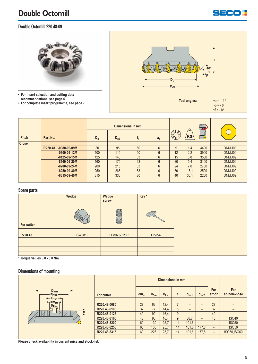

#### **Double Octomill 220.48-09**



 $D_{c2}$ **• For complete insert programme, see page 7. Tool angles:**  $\gamma$  = -11<sup>o</sup> = -11<sup>o</sup> = -11<sup>o</sup> = -11<sup>o</sup> = -11<sup>o</sup> = -11<sup>o</sup> = -11<sup>o</sup> = -11<sup>o</sup> = -11<sup>o</sup> = -11<sup>o</sup> = -11<sup>o</sup> = -11<sup>o</sup> = -11<sup>o</sup> = -11<sup>o</sup> = -11<sup>o</sup> = -11<sup>o</sup> = -11<sup>o</sup> =  $\gamma p = -8^\circ$  $\gamma$ f = - 8°

**recommendations, see page 6.**

|              |                               |       |                      | Dimensions in mm |         |           | Q         | $\leftarrow$ |        |
|--------------|-------------------------------|-------|----------------------|------------------|---------|-----------|-----------|--------------|--------|
| <b>Pitch</b> | Part No.                      | $D_c$ | $D_{c2}$             | 11               | $a_{p}$ | ∧⊍≽<br>₹r | <b>KG</b> | $\Box$       |        |
| <b>Close</b> |                               |       |                      |                  |         |           |           |              |        |
|              | R220.48<br>$-0080 - 09 - 09M$ | 80    | 95                   | 50               | 6       | 9         | 1.4       | 4400         | ONMU09 |
|              | $-0100 - 09 - 12M$            | 100   | 115                  | 50               | 6       |           | 2.2       | 3900         | ONMU09 |
|              | $-0125 - 09 - 15M$            | 125   | 140                  | 63               | 6       | 15        | 3.8       | 3500         | ONMU09 |
|              | $-8160 - 09 - 20M$            | 160   | 175                  | 63               | 6       | 20        | 5.4       | 3100         | ONMU09 |
|              | $-8200 - 09 - 24M$            | 200   | 215                  | 63               | 6       | 24        | 7.0       | 2700         | ONMU09 |
|              | $-8250 - 09 - 30M$            | 250   | 265                  | 63               | 6       | 30        | 15.1      | 2500         | ONMU09 |
|              | $-8315 - 09 - 40M$            | 315   | 40<br>330<br>80<br>6 |                  |         |           |           | 2200         | ONMU09 |
|              |                               |       |                      |                  |         |           |           |              |        |

#### **Spare parts**

|            | Wedge         | Wedge<br>screw          | Key*   |  |
|------------|---------------|-------------------------|--------|--|
| For cutter |               | C<br><b>The Company</b> |        |  |
| R220.48.   | <b>CW0816</b> | LD8025-T25P             | T25P-4 |  |
|            |               |                         |        |  |
|            |               |                         |        |  |

**\* Torque values 6,0 - 8,0 Nm.**

#### **Dimensions of mounting**

| $D_{5m}$<br>ahc2.                                                           | <b>For cutter</b> | dm <sub>m</sub> | $D_{5m}$ | Dimensions in mm<br>$B_{kw}$ | c              | $d_{hc1}$ | $d_{hc2}$ | For<br>arbor | For<br>spindle-nose |
|-----------------------------------------------------------------------------|-------------------|-----------------|----------|------------------------------|----------------|-----------|-----------|--------------|---------------------|
| $d_{\text{hct}} \rightarrow$<br>$\rightarrow$ dm <sub>m</sub> $\rightarrow$ | R220.48-0080      | 27              | 62       | 12,4                         | $\overline{7}$ | -         | -         | 27           | $\qquad \qquad -$   |
| <b>B<sub>kw</sub></b>                                                       | R220.48-0100      | 32              | 77       | 14,4                         | 8              | -         | -         | 32           | $\qquad \qquad -$   |
|                                                                             | R220.48-0125      | 40              | 90       | 16,4                         | 9              | -         | -         | 40           | $\qquad \qquad -$   |
|                                                                             | R220.48-8160      | 40              | 90       | 16.4                         | 9              | 66.7      | -         | 40           | <b>ISO40</b>        |
|                                                                             | R220.48-8200      | 60              | 130      | 25.7                         | 14             | 101.6     |           | -            | <b>ISO50</b>        |
|                                                                             | R220.48-8250      | 60              | 130      | 25.7                         | 14             | 101,6     | 177,8     | -            | <b>ISO50</b>        |
|                                                                             | R220.48-8315      | 60              | 225      | 25.7                         | 14             | 101.6     | 177.8     | -            | ISO50,ISO60         |
|                                                                             |                   |                 |          |                              |                |           |           |              |                     |

**Please check availability in current price and stock-list.**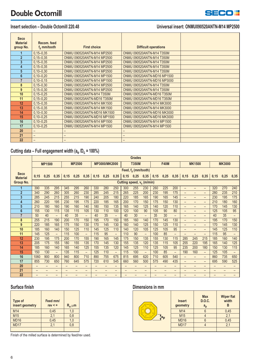

## **Insert selection – Double Octomill 220.48 Universal insert: ONMU090520ANTN-M14 MP2500**

| <b>Seco</b><br><b>Material</b><br>group No. | Recom, feed<br>f <sub>z</sub> mm/tooth | <b>First choice</b>              | <b>Difficult operations</b>       |  |
|---------------------------------------------|----------------------------------------|----------------------------------|-----------------------------------|--|
|                                             |                                        |                                  |                                   |  |
|                                             | $0,15 - 0,35$                          | ONMU 090520ANTN-M14 MP2500       | ONMU 090520ANTN-M14 T350M         |  |
| $\overline{2}$                              | $0.15 - 0.35$                          | ONMU 090520ANTN-M14 MP2500       | ONMU 090520ANTN-M14 T350M         |  |
| 3                                           | $0,15 - 0,35$                          | ONMU 090520ANTN-M14 MP2500       | <b>ONMU 090520ANTN-M14 T350M</b>  |  |
| 4                                           | $0,15 - 0,35$                          | ONMU 090520ANTN-M14 MP2500       | ONMU 090520ANTN-M14 T350M         |  |
| 5                                           | $0.10 - 0.30$                          | ONMU 090520ANTN-M14 MP2500       | ONMU 090520ANTN-M14 T350M         |  |
| $6\phantom{a}$                              | $0.10 - 0.20$                          | ONMU 090520ANTN-M14 MP1500       | ONMU 090520ANTN-MD16 MP1500       |  |
| $\overline{7}$                              | $0,10-0,15$                            | ONMU 090520ANTN-M14 MP1500       | ONMU 090520ANTN-MD16 MP3000       |  |
| 8                                           | $0,15 - 0,30$                          | ONMU 090520ANTN-M14 MP2500       | ONMU 090520ANTN-M14 T350M         |  |
| 9                                           | $0.15 - 0.30$                          | ONMU 090520ANTN-M14 MP2500       | ONMU 090520ANTN-M14 T350M         |  |
| 10                                          | $0.15 - 0.25$                          | <b>ONMU 090520ANTN-M14 T350M</b> | <b>ONMU 090520ANTN-MD16 T350M</b> |  |
| 11                                          | $0.15 - 0.20$                          | ONMU 090520ANTN-MD16 T350M       | ONMU 090520ANTN-MD16 T350M        |  |
| 12                                          | $0.15 - 0.35$                          | ONMU 090520ANTN-M14 MK1500       | ONMU 090520ANTN-M14 MK3000        |  |
| 13                                          | $0,15 - 0,35$                          | ONMU 090520ANTN-M14 MK1500       | ONMU 090520ANTN-M14 MK3000        |  |
| 14                                          | $0.10 - 0.30$                          | ONMU 090520ANTN-MD16 MK1500      | ONMU 090520ANTN-MD16 MK3000       |  |
| 15                                          | $0.10 - 0.25$                          | ONMU 090520ANTN-MD16 MP1500      | ONMU 090520ANTN-MD16 MK3000       |  |
| 16                                          | $0.10 - 0.25$                          | ONMU 090520ANTN-M14 MP1500       | ONMU 090520ANTN-M14 MP1500        |  |
| 17                                          | $0.10 - 0.25$                          | ONMU 090520ANTN-M14 MP1500       | ONMU 090520ANTN-M14 MP1500        |  |
| 20                                          |                                        |                                  |                                   |  |
| 21                                          | -                                      |                                  |                                   |  |
| 22                                          |                                        |                                  |                                   |  |

## Cutting data – Full engagement width (a<sub>e</sub> /D<sub>c</sub> = 100%)

|                                | <b>Grades</b>                   |               |      |                 |               |                          |      |               |                          |                                       |              |                          |      |             |                          |                          |                          |                          |      |               |                          |
|--------------------------------|---------------------------------|---------------|------|-----------------|---------------|--------------------------|------|---------------|--------------------------|---------------------------------------|--------------|--------------------------|------|-------------|--------------------------|--------------------------|--------------------------|--------------------------|------|---------------|--------------------------|
|                                |                                 | <b>MP1500</b> |      |                 | <b>MP2500</b> |                          |      | MP3000/MK2000 |                          |                                       | <b>T350M</b> |                          |      | <b>F40M</b> |                          |                          | <b>MK1500</b>            |                          |      | <b>MK3000</b> |                          |
|                                | Feed, f <sub>z</sub> (mm/tooth) |               |      |                 |               |                          |      |               |                          |                                       |              |                          |      |             |                          |                          |                          |                          |      |               |                          |
| <b>Seco</b><br><b>Material</b> | 0,15                            | 0,25          | 0,35 | 0,15            | 0,25          | 0,35                     | 0,15 | 0,25          | 0,35                     | 0,15                                  | 0,25         | 0,35                     | 0,15 | 0,25        | 0,35                     | 0,15                     | 0,25                     | 0,35                     | 0,15 | 0,25          | 0,35                     |
| Group No.                      |                                 |               |      |                 |               |                          |      |               |                          | Cutting speed, v <sub>c</sub> (m/min) |              |                          |      |             |                          |                          |                          |                          |      |               |                          |
|                                | 390                             | 335           | 295  | 345             | 295           | 260                      | 330  | 280           | 250                      | 300                                   | 255          | 230                      | 260  | 225         | 200                      | $\overline{\phantom{0}}$ | $\overline{\phantom{0}}$ | $\overline{\phantom{0}}$ | 320  | 270           | 240                      |
| $\overline{2}$                 | 340                             | 290           | 260  | 305             | 260           | 230                      | 285  | 245           | 215                      | 265                                   | 225          | 200                      | 230  | 195         | 175                      | $\overline{\phantom{0}}$ | -                        | $\overline{\phantom{0}}$ | 280  | 235           | 210                      |
| 3                              | 285                             | 245           | 215  | 255             | 215           | 190                      | 240  | 205           | 180                      | 220                                   | 185          | 165                      | 190  | 165         | 145                      | $-$                      | $\overline{\phantom{0}}$ | $\overline{\phantom{0}}$ | 230  | 195           | 175                      |
| 4                              | 260                             | 220           | 195  | 230             | 195           | 175                      | 220  | 185           | 165                      | 200                                   | 170          | 150                      | 175  | 150         | 130                      | $\overline{\phantom{0}}$ | -                        | $\overline{\phantom{0}}$ | 210  | 180           | 160                      |
| 5                              | 210                             | 180           | 160  | 190             | 160           | 140                      | 180  | 150           | 135                      | 165                                   | 140          | 125                      | 140  | 120         | 110                      | $\overline{\phantom{0}}$ |                          | -                        | 170  | 145           | 130                      |
| 6                              | 155                             | 130           | 115  | 135             | 115           | 105                      | 130  | 110           | 100                      | 120                                   | 100          | 90                       | 105  | 90          | 80                       | -                        | -                        | $\overline{\phantom{0}}$ | 125  | 105           | 95                       |
| $\overline{7}$                 | 50                              | 40            | $-$  | 40              | 35            | $\overline{\phantom{0}}$ | 40   | 35            | $\overline{\phantom{0}}$ | 40                                    | 30           | $\overline{\phantom{0}}$ | 35   | 30          | $\overline{\phantom{0}}$ | $\qquad \qquad$          | -                        | $\overline{\phantom{0}}$ | 40   | 35            | $\overline{\phantom{0}}$ |
| 8                              | 255                             | 215           | 190  | 200             | 170           | 150                      | 195  | 170           | 150                      | 185                                   | 160          | 140                      | 170  | 145         | 130                      | $\overline{\phantom{0}}$ | $\overline{\phantom{0}}$ | $\overline{\phantom{0}}$ | 195  | 170           | 150                      |
| 9                              | 220                             | 185           | 165  | 175             | 150           | 130                      | 170  | 145           | 130                      | 160                                   | 140          | 125                      | 150  | 125         | 110                      | $\overline{\phantom{0}}$ | -                        | $\overline{\phantom{0}}$ | 170  | 145           | 130                      |
| 10                             | 185                             | 160           | 140  | 150             | 125           | 110                      | 145  | 125           | 110                      | 140                                   | 120          | 105                      | 125  | 105         | 95                       | $\overline{\phantom{0}}$ | $\overline{\phantom{0}}$ | $\overline{\phantom{0}}$ | 145  | 125           | 110                      |
| 11                             | 145                             | 125           | $-$  | 115             | 100           | $\overline{a}$           | 115  | 95            | $\overline{a}$           | 110                                   | 90           | $\overline{\phantom{0}}$ | 100  | 85          | $\overline{\phantom{0}}$ | $\overline{\phantom{0}}$ | $\overline{\phantom{0}}$ | $\overline{\phantom{0}}$ | 115  | 95            | $\overline{\phantom{0}}$ |
| 12                             | 230                             | 195           | 175  | 200             | 170           | 155                      | 190  | 165           | 145                      | 175                                   | 150          | 135                      | 155  | 130         | 115                      | 285                      | 245                      | 215                      | 185  | 160           | 140                      |
| 13                             | 205                             | 175           | 155  | 180             | 155           | 135                      | 170  | 145           | 130                      | 155                                   | 135          | 120                      | 135  | 115         | 105                      | 255                      | 220                      | 195                      | 165  | 140           | 125                      |
| 14                             | 185                             | 160           | 140  | 165             | 140           | 125                      | 155  | 135           | 120                      | 145                                   | 125          | 110                      | 125  | 105         | 95                       | 235                      | 200                      | 180                      | 150  | 130           | 115                      |
| 15                             | 150                             | 130           | $-$  | 135             | 115           | $\overline{\phantom{0}}$ | 125  | 110           | $\overline{\phantom{0}}$ | 115                                   | 100          | $\overline{\phantom{0}}$ | 100  | 85          | $\qquad \qquad -$        | 190                      | 160                      | $\overline{\phantom{0}}$ | 125  | 105           |                          |
| 16                             | 1060                            | 900           | 800  | 940             | 800           | 710                      | 890  | 755           | 675                      | 815                                   | 695          | 620                      | 710  | 605         | 540                      | $\overline{\phantom{0}}$ | $\overline{\phantom{0}}$ | $\overline{\phantom{0}}$ | 860  | 735           | 650                      |
| 17                             | 855                             | 730           | 650  | 760             | 645           | 575                      | 720  | 610           | 545                      | 660                                   | 560          | 500                      | 575  | 490         | 435                      | $\qquad \qquad -$        | $\overline{\phantom{0}}$ | -                        | 695  | 590           | 525                      |
| 20                             | $\overline{\phantom{0}}$        |               | -    | $\qquad \qquad$ | -             |                          | -    | ۳             | -                        |                                       |              | -                        | -    |             | $\qquad \qquad$          | $\qquad \qquad$          | -                        | -                        |      |               | -                        |
| 21                             | $\qquad \qquad$                 |               | -    | -               |               | -                        |      |               | -                        | -                                     |              | -                        |      |             | -                        |                          |                          | -                        |      |               | -                        |
| 22                             | $\overline{\phantom{0}}$        |               |      | ۰               |               | -                        |      |               | -                        | -                                     |              | $\overline{\phantom{0}}$ |      |             | -                        |                          |                          | -                        |      |               | -                        |

| Type of<br>insert geometry | Feed mm/<br>$rev < =$ | $R_a \mu m$ |
|----------------------------|-----------------------|-------------|
| M14                        | 0,45                  | 1.0         |
| M15                        | 2.1                   | 0.8         |
| <b>MD16</b>                | 0,45                  | 1,0         |
| <b>MD17</b>                | 2,1                   | 0.8         |
|                            |                       |             |

Finish of the milled surface is determined by feed/rev used.

#### **Surface finish Contract Contract Contract Contract Contract Contract Contract Contract Contract Contract Contract Contract Contract Contract Contract Contract Contract Contract Contract Contract Contract Contract Contract**

| geometry                   | Feed mm/<br>$rev < =$ | insert geometry |
|----------------------------|-----------------------|-----------------|
|                            | 0,45                  |                 |
| <b>Tap</b>                 | 0,8                   | 2,1             |
|                            | 1,0                   | 0,45            |
|                            | 0,8                   | 2,1             |
| <b>MD16</b><br><b>MD17</b> |                       |                 |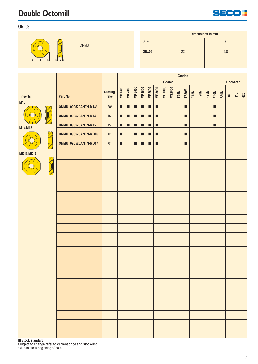

## **ON..09**



ONMU

|             | Dimensions in mm |     |  |  |  |  |  |  |  |  |  |  |
|-------------|------------------|-----|--|--|--|--|--|--|--|--|--|--|
| <b>Size</b> |                  |     |  |  |  |  |  |  |  |  |  |  |
| ON09        | 22               | 5.8 |  |  |  |  |  |  |  |  |  |  |
|             |                  |     |  |  |  |  |  |  |  |  |  |  |
|             |                  |     |  |  |  |  |  |  |  |  |  |  |

|                  |                             |                | Grades        |               |                |        |        |        |        |               |             |              |                 |      |      |      |      |               |     |     |
|------------------|-----------------------------|----------------|---------------|---------------|----------------|--------|--------|--------|--------|---------------|-------------|--------------|-----------------|------|------|------|------|---------------|-----|-----|
|                  |                             |                | Coated        |               |                |        |        |        |        |               |             |              | <b>Uncoated</b> |      |      |      |      |               |     |     |
|                  |                             | <b>Cutting</b> | <b>MK1500</b> | <b>MK2000</b> | <b>MK3000</b>  | MP1500 | MP2500 | MP3000 | MH1000 | <b>MS2500</b> |             |              |                 |      |      |      |      |               |     |     |
| <b>Inserts</b>   | Part No.                    | rake           |               |               |                |        |        |        |        |               | <b>T25M</b> | <b>T350M</b> | F15M            | F20M | F25M | F40M | S60M | $\check{\Xi}$ | H15 | H25 |
| <b>M13</b>       |                             |                |               |               |                |        |        |        |        |               |             |              |                 |      |      |      |      |               |     |     |
|                  | <b>ONMU 090520ANTN-M13*</b> | $20^\circ$     | □             | □             | □              | ◘      | □      | П      |        |               |             | □            |                 |      |      | П    |      |               |     |     |
|                  | <b>ONMU 090520ANTN-M14</b>  | $15^\circ$     | П             | П             | $\blacksquare$ | П      | □      | О      |        |               |             | П            |                 |      |      | □    |      |               |     |     |
|                  | <b>ONMU 090520ANTN-M15</b>  | $15^\circ$     | П             | П             | П              | П      | п      | П      |        |               |             | П            |                 |      |      | П    |      |               |     |     |
| M14/M15          |                             |                |               |               |                |        |        |        |        |               |             |              |                 |      |      |      |      |               |     |     |
|                  | <b>ONMU 090520ANTN-MD16</b> | $0^{\circ}$    | П             |               | П              | П      | П      | П      |        |               |             | П            |                 |      |      |      |      |               |     |     |
|                  | <b>ONMU 090520ANTN-MD17</b> | $0^{\circ}$    | П             |               | П              | П      | ■      | П      |        |               |             | П            |                 |      |      |      |      |               |     |     |
| <b>MD16/MD17</b> |                             |                |               |               |                |        |        |        |        |               |             |              |                 |      |      |      |      |               |     |     |
|                  |                             |                |               |               |                |        |        |        |        |               |             |              |                 |      |      |      |      |               |     |     |
| ÍÍ               |                             |                |               |               |                |        |        |        |        |               |             |              |                 |      |      |      |      |               |     |     |
|                  |                             |                |               |               |                |        |        |        |        |               |             |              |                 |      |      |      |      |               |     |     |
|                  |                             |                |               |               |                |        |        |        |        |               |             |              |                 |      |      |      |      |               |     |     |
|                  |                             |                |               |               |                |        |        |        |        |               |             |              |                 |      |      |      |      |               |     |     |
|                  |                             |                |               |               |                |        |        |        |        |               |             |              |                 |      |      |      |      |               |     |     |
|                  |                             |                |               |               |                |        |        |        |        |               |             |              |                 |      |      |      |      |               |     |     |
|                  |                             |                |               |               |                |        |        |        |        |               |             |              |                 |      |      |      |      |               |     |     |
|                  |                             |                |               |               |                |        |        |        |        |               |             |              |                 |      |      |      |      |               |     |     |
|                  |                             |                |               |               |                |        |        |        |        |               |             |              |                 |      |      |      |      |               |     |     |
|                  |                             |                |               |               |                |        |        |        |        |               |             |              |                 |      |      |      |      |               |     |     |
|                  |                             |                |               |               |                |        |        |        |        |               |             |              |                 |      |      |      |      |               |     |     |
|                  |                             |                |               |               |                |        |        |        |        |               |             |              |                 |      |      |      |      |               |     |     |
|                  |                             |                |               |               |                |        |        |        |        |               |             |              |                 |      |      |      |      |               |     |     |
|                  |                             |                |               |               |                |        |        |        |        |               |             |              |                 |      |      |      |      |               |     |     |
|                  |                             |                |               |               |                |        |        |        |        |               |             |              |                 |      |      |      |      |               |     |     |
|                  |                             |                |               |               |                |        |        |        |        |               |             |              |                 |      |      |      |      |               |     |     |
|                  |                             |                |               |               |                |        |        |        |        |               |             |              |                 |      |      |      |      |               |     |     |
|                  |                             |                |               |               |                |        |        |        |        |               |             |              |                 |      |      |      |      |               |     |     |
|                  |                             |                |               |               |                |        |        |        |        |               |             |              |                 |      |      |      |      |               |     |     |
|                  |                             |                |               |               |                |        |        |        |        |               |             |              |                 |      |      |      |      |               |     |     |
|                  |                             |                |               |               |                |        |        |        |        |               |             |              |                 |      |      |      |      |               |     |     |
|                  |                             |                |               |               |                |        |        |        |        |               |             |              |                 |      |      |      |      |               |     |     |
|                  |                             |                |               |               |                |        |        |        |        |               |             |              |                 |      |      |      |      |               |     |     |
|                  |                             |                |               |               |                |        |        |        |        |               |             |              |                 |      |      |      |      |               |     |     |
|                  |                             |                |               |               |                |        |        |        |        |               |             |              |                 |      |      |      |      |               |     |     |
|                  |                             |                |               |               |                |        |        |        |        |               |             |              |                 |      |      |      |      |               |     |     |
| Stock standard   |                             |                |               |               |                |        |        |        |        |               |             |              |                 |      |      |      |      |               |     |     |

[**Stock standard Subject to change refer to current price and stock-list** \*M13 In stock beginning of 2010